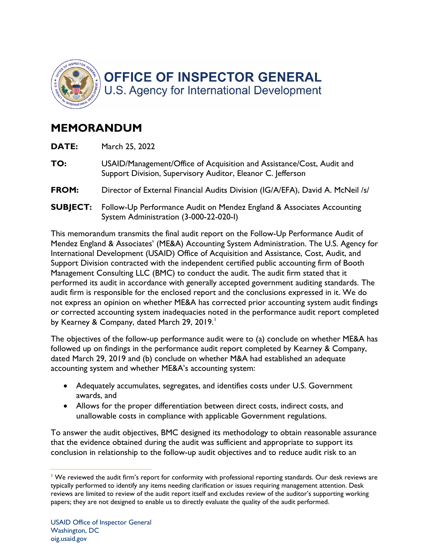

## **MEMORANDUM**

| DATE:           | March 25, 2022                                                                                                                       |
|-----------------|--------------------------------------------------------------------------------------------------------------------------------------|
| TO:             | USAID/Management/Office of Acquisition and Assistance/Cost, Audit and<br>Support Division, Supervisory Auditor, Eleanor C. Jefferson |
| FROM:           | Director of External Financial Audits Division (IG/A/EFA), David A. McNeil /s/                                                       |
| <b>SUBJECT:</b> | Follow-Up Performance Audit on Mendez England & Associates Accounting<br>System Administration (3-000-22-020-I)                      |
|                 |                                                                                                                                      |

 Mendez England & Associates' (ME&A) Accounting System Administration. The U.S. Agency for audit firm is responsible for the enclosed report and the conclusions expressed in it. We do This memorandum transmits the final audit report on the Follow-Up Performance Audit of International Development (USAID) Office of Acquisition and Assistance, Cost, Audit, and Support Division contracted with the independent certified public accounting firm of Booth Management Consulting LLC (BMC) to conduct the audit. The audit firm stated that it performed its audit in accordance with generally accepted government auditing standards. The not express an opinion on whether ME&A has corrected prior accounting system audit findings or corrected accounting system inadequacies noted in the performance audit report completed by Kearney & Company, dated March 29, 2019.

The objectives of the follow-up performance audit were to (a) conclude on whether ME&A has followed up on findings in the performance audit report completed by Kearney & Company, dated March 29, 2019 and (b) conclude on whether M&A had established an adequate accounting system and whether ME&A's accounting system:

- Adequately accumulates, segregates, and identifies costs under U.S. Government awards, and
- • Allows for the proper differentiation between direct costs, indirect costs, and unallowable costs in compliance with applicable Government regulations.

To answer the audit objectives, BMC designed its methodology to obtain reasonable assurance that the evidence obtained during the audit was sufficient and appropriate to support its conclusion in relationship to the follow-up audit objectives and to reduce audit risk to an

 $1$  We reviewed the audit firm's report for conformity with professional reporting standards. Our desk reviews are typically performed to identify any items needing clarification or issues requiring management attention. Desk reviews are limited to review of the audit report itself and excludes review of the auditor's supporting working papers; they are not designed to enable us to directly evaluate the quality of the audit performed.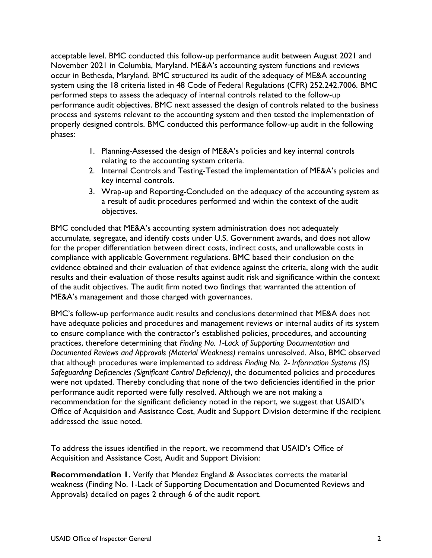November 2021 in Columbia, Maryland. ME&A's accounting system functions and reviews system using the 18 criteria listed in 48 Code of Federal Regulations (CFR) 252.242.7006. BMC performed steps to assess the adequacy of internal controls related to the follow-up performance audit objectives. BMC next assessed the design of controls related to the business properly designed controls. BMC conducted this performance follow-up audit in the following phases: acceptable level. BMC conducted this follow-up performance audit between August 2021 and occur in Bethesda, Maryland. BMC structured its audit of the adequacy of ME&A accounting process and systems relevant to the accounting system and then tested the implementation of

- 1. Planning-Assessed the design of ME&A's policies and key internal controls relating to the accounting system criteria.
- 2. Internal Controls and Testing-Tested the implementation of ME&A's policies and key internal controls.
- 3. Wrap-up and Reporting-Concluded on the adequacy of the accounting system as a result of audit procedures performed and within the context of the audit objectives.

 accumulate, segregate, and identify costs under U.S. Government awards, and does not allow compliance with applicable Government regulations. BMC based their conclusion on the of the audit objectives. The audit firm noted two findings that warranted the attention of BMC concluded that ME&A's accounting system administration does not adequately for the proper differentiation between direct costs, indirect costs, and unallowable costs in evidence obtained and their evaluation of that evidence against the criteria, along with the audit results and their evaluation of those results against audit risk and significance within the context ME&A's management and those charged with governances.

 BMC's follow-up performance audit results and conclusions determined that ME&A does not  *Documented Reviews and Approvals (Material Weakness)* remains unresolved. Also, BMC observed were not updated. Thereby concluding that none of the two deficiencies identified in the prior have adequate policies and procedures and management reviews or internal audits of its system to ensure compliance with the contractor's established policies, procedures, and accounting practices, therefore determining that *Finding No. 1-Lack of Supporting Documentation and*  that although procedures were implemented to address *Finding No. 2- Information Systems (IS) Safeguarding Deficiencies (Significant Control Deficiency)*, the documented policies and procedures performance audit reported were fully resolved. Although we are not making a recommendation for the significant deficiency noted in the report, we suggest that USAID's Office of Acquisition and Assistance Cost, Audit and Support Division determine if the recipient addressed the issue noted.

 To address the issues identified in the report, we recommend that USAID's Office of Acquisition and Assistance Cost, Audit and Support Division:

Approvals) detailed on pages 2 through 6 of the audit report. **Recommendation 1.** Verify that Mendez England & Associates corrects the material weakness (Finding No. 1-Lack of Supporting Documentation and Documented Reviews and Approvals) detailed on pages 2 through 6 of the audit report.<br>USAID Office of Inspector General 2